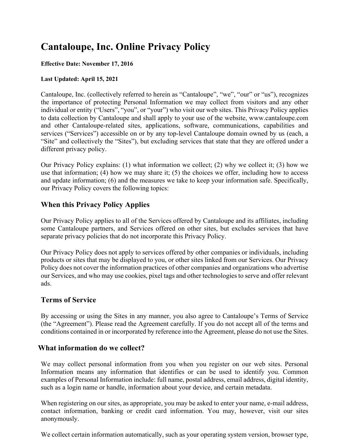# **Cantaloupe, Inc. Online Privacy Policy**

#### **Effective Date: November 17, 2016**

#### **Last Updated: April 15, 2021**

Cantaloupe, Inc. (collectively referred to herein as "Cantaloupe", "we", "our" or "us"), recognizes the importance of protecting Personal Information we may collect from visitors and any other individual or entity ("Users", "you", or "your") who visit our web sites. This Privacy Policy applies to data collection by Cantaloupe and shall apply to your use of the website, www.cantaloupe.com and other Cantaloupe-related sites, applications, software, communications, capabilities and services ("Services") accessible on or by any top-level Cantaloupe domain owned by us (each, a "Site" and collectively the "Sites"), but excluding services that state that they are offered under a different privacy policy.

Our Privacy Policy explains: (1) what information we collect; (2) why we collect it; (3) how we use that information; (4) how we may share it; (5) the choices we offer, including how to access and update information; (6) and the measures we take to keep your information safe. Specifically, our Privacy Policy covers the following topics:

# **When this Privacy Policy Applies**

Our Privacy Policy applies to all of the Services offered by Cantaloupe and its affiliates, including some Cantaloupe partners, and Services offered on other sites, but excludes services that have separate privacy policies that do not incorporate this Privacy Policy.

Our Privacy Policy does not apply to services offered by other companies or individuals, including products or sites that may be displayed to you, or other sites linked from our Services. Our Privacy Policy does not cover the information practices of other companies and organizations who advertise our Services, and who may use cookies, pixel tags and other technologies to serve and offer relevant ads.

#### **Terms of Service**

By accessing or using the Sites in any manner, you also agree to Cantaloupe's Terms of Service (the "Agreement"). Please read the Agreement carefully. If you do not accept all of the terms and conditions contained in or incorporated by reference into the Agreement, please do not use the Sites.

## **What information do we collect?**

We may collect personal information from you when you register on our web sites. Personal Information means any information that identifies or can be used to identify you. Common examples of Personal Information include: full name, postal address, email address, digital identity, such as a login name or handle, information about your device, and certain metadata.

When registering on our sites, as appropriate, you may be asked to enter your name, e-mail address, contact information, banking or credit card information. You may, however, visit our sites anonymously.

We collect certain information automatically, such as your operating system version, browser type,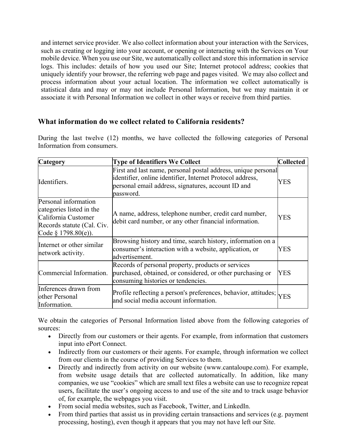and internet service provider. We also collect information about your interaction with the Services, such as creating or logging into your account, or opening or interacting with the Services on Your mobile device. When you use our Site, we automatically collect and store this information in service logs. This includes: details of how you used our Site; Internet protocol address; cookies that uniquely identify your browser, the referring web page and pages visited. We may also collect and process information about your actual location. The information we collect automatically is statistical data and may or may not include Personal Information, but we may maintain it or associate it with Personal Information we collect in other ways or receive from third parties.

## **What information do we collect related to California residents?**

During the last twelve (12) months, we have collected the following categories of Personal Information from consumers.

| <b>Category</b>                                                                                                                | <b>Type of Identifiers We Collect</b>                                                                                                                                                         | <b>Collected</b> |
|--------------------------------------------------------------------------------------------------------------------------------|-----------------------------------------------------------------------------------------------------------------------------------------------------------------------------------------------|------------------|
| Identifiers.                                                                                                                   | First and last name, personal postal address, unique personal<br>identifier, online identifier, Internet Protocol address,<br>personal email address, signatures, account ID and<br>password. | <b>YES</b>       |
| Personal information<br>categories listed in the<br>California Customer<br>Records statute (Cal. Civ.<br>Code $§$ 1798.80(e)). | A name, address, telephone number, credit card number,<br>debit card number, or any other financial information.                                                                              | <b>YES</b>       |
| Internet or other similar<br>network activity.                                                                                 | Browsing history and time, search history, information on a<br>consumer's interaction with a website, application, or<br>advertisement.                                                       | YES              |
| Commercial Information.                                                                                                        | Records of personal property, products or services<br>purchased, obtained, or considered, or other purchasing or<br>consuming histories or tendencies.                                        | YES              |
| Inferences drawn from<br>other Personal<br>Information.                                                                        | Profile reflecting a person's preferences, behavior, attitudes; $ _{\text{YES}}$<br>and social media account information.                                                                     |                  |

We obtain the categories of Personal Information listed above from the following categories of sources:

- Directly from our customers or their agents. For example, from information that customers input into ePort Connect.
- Indirectly from our customers or their agents. For example, through information we collect from our clients in the course of providing Services to them.
- Directly and indirectly from activity on our website (www.cantaloupe.com). For example, from website usage details that are collected automatically. In addition, like many companies, we use "cookies" which are small text files a website can use to recognize repeat users, facilitate the user's ongoing access to and use of the site and to track usage behavior of, for example, the webpages you visit.
- From social media websites, such as Facebook, Twitter, and LinkedIn.
- From third parties that assist us in providing certain transactions and services (e.g. payment processing, hosting), even though it appears that you may not have left our Site.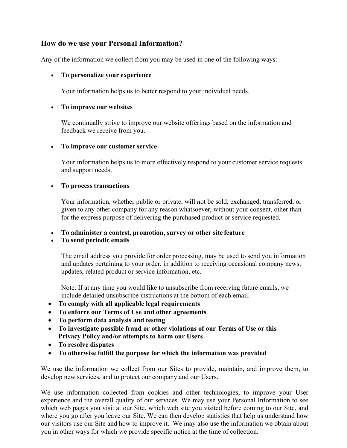# **How do we use your Personal Information?**

Any of the information we collect from you may be used in one of the following ways:

#### • **To personalize your experience**

Your information helps us to better respond to your individual needs.

#### • **To improve our websites**

We continually strive to improve our website offerings based on the information and feedback we receive from you.

#### • **To improve our customer service**

Your information helps us to more effectively respond to your customer service requests and support needs.

#### • **To process transactions**

Your information, whether public or private, will not be sold, exchanged, transferred, or given to any other company for any reason whatsoever, without your consent, other than for the express purpose of delivering the purchased product or service requested.

• **To administer a contest, promotion, survey or other site feature**

#### • **To send periodic emails**

The email address you provide for order processing, may be used to send you information and updates pertaining to your order, in addition to receiving occasional company news, updates, related product or service information, etc.

Note: If at any time you would like to unsubscribe from receiving future emails, we include detailed unsubscribe instructions at the bottom of each email.

- **To comply with all applicable legal requirements**
- **To enforce our Terms of Use and other agreements**
- **To perform data analysis and testing**
- **To investigate possible fraud or other violations of our Terms of Use or this Privacy Policy and/or attempts to harm our Users**
- **To resolve disputes**
- **To otherwise fulfill the purpose for which the information was provided**

We use the information we collect from our Sites to provide, maintain, and improve them, to develop new services, and to protect our company and our Users.

We use information collected from cookies and other technologies, to improve your User experience and the overall quality of our services. We may use your Personal Information to see which web pages you visit at our Site, which web site you visited before coming to our Site, and where you go after you leave our Site. We can then develop statistics that help us understand how our visitors use our Site and how to improve it. We may also use the information we obtain about you in other ways for which we provide specific notice at the time of collection.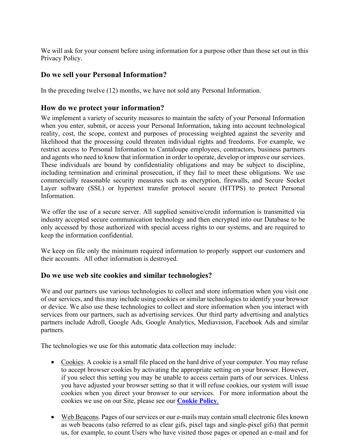We will ask for your consent before using information for a purpose other than those set out in this Privacy Policy.

## **Do we sell your Personal Information?**

In the preceding twelve (12) months, we have not sold any Personal Information.

## **How do we protect your information?**

We implement a variety of security measures to maintain the safety of your Personal Information when you enter, submit, or access your Personal Information, taking into account technological reality, cost, the scope, context and purposes of processing weighted against the severity and likelihood that the processing could threaten individual rights and freedoms. For example, we restrict access to Personal Information to Cantaloupe employees, contractors, business partners and agents who need to know that information in order to operate, develop or improve our services. These individuals are bound by confidentiality obligations and may be subject to discipline, including termination and criminal prosecution, if they fail to meet these obligations. We use commercially reasonable security measures such as encryption, firewalls, and Secure Socket Layer software (SSL) or hypertext transfer protocol secure (HTTPS) to protect Personal Information.

We offer the use of a secure server. All supplied sensitive/credit information is transmitted via industry accepted secure communication technology and then encrypted into our Database to be only accessed by those authorized with special access rights to our systems, and are required to keep the information confidential.

We keep on file only the minimum required information to properly support our customers and their accounts. All other information is destroyed.

## **Do we use web site cookies and similar technologies?**

We and our partners use various technologies to collect and store information when you visit one of our services, and this may include using cookies or similar technologies to identify your browser or device. We also use these technologies to collect and store information when you interact with services from our partners, such as advertising services. Our third party advertising and analytics partners include Adroll, Google Ads, Google Analytics, Mediavision, Facebook Ads and similar partners.

The technologies we use for this automatic data collection may include:

- Cookies. A cookie is a small file placed on the hard drive of your computer. You may refuse to accept browser cookies by activating the appropriate setting on your browser. However, if you select this setting you may be unable to access certain parts of our services. Unless you have adjusted your browser setting so that it will refuse cookies, our system will issue cookies when you direct your browser to our services. For more information about the cookies we use on our Site, please see our **Cookie Policy**.
- Web Beacons. Pages of our services or our e-mails may contain small electronic files known as web beacons (also referred to as clear gifs, pixel tags and single-pixel gifs) that permit us, for example, to count Users who have visited those pages or opened an e-mail and for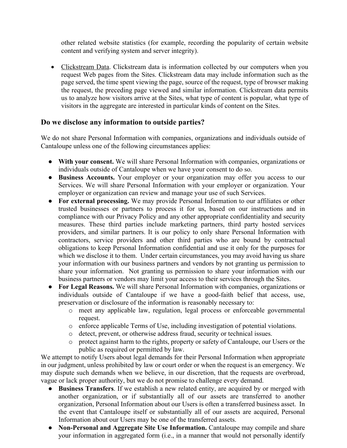other related website statistics (for example, recording the popularity of certain website content and verifying system and server integrity).

• Clickstream Data. Clickstream data is information collected by our computers when you request Web pages from the Sites. Clickstream data may include information such as the page served, the time spent viewing the page, source of the request, type of browser making the request, the preceding page viewed and similar information. Clickstream data permits us to analyze how visitors arrive at the Sites, what type of content is popular, what type of visitors in the aggregate are interested in particular kinds of content on the Sites.

## **Do we disclose any information to outside parties?**

We do not share Personal Information with companies, organizations and individuals outside of Cantaloupe unless one of the following circumstances applies:

- **With your consent.** We will share Personal Information with companies, organizations or individuals outside of Cantaloupe when we have your consent to do so.
- **Business Accounts.** Your employer or your organization may offer you access to our Services. We will share Personal Information with your employer or organization. Your employer or organization can review and manage your use of such Services.
- **For external processing.** We may provide Personal Information to our affiliates or other trusted businesses or partners to process it for us, based on our instructions and in compliance with our Privacy Policy and any other appropriate confidentiality and security measures. These third parties include marketing partners, third party hosted services providers, and similar partners. It is our policy to only share Personal Information with contractors, service providers and other third parties who are bound by contractual obligations to keep Personal Information confidential and use it only for the purposes for which we disclose it to them. Under certain circumstances, you may avoid having us share your information with our business partners and vendors by not granting us permission to share your information. Not granting us permission to share your information with our business partners or vendors may limit your access to their services through the Sites.
- **For Legal Reasons.** We will share Personal Information with companies, organizations or individuals outside of Cantaloupe if we have a good-faith belief that access, use, preservation or disclosure of the information is reasonably necessary to:
	- o meet any applicable law, regulation, legal process or enforceable governmental request.
	- o enforce applicable Terms of Use, including investigation of potential violations.
	- o detect, prevent, or otherwise address fraud, security or technical issues.
	- o protect against harm to the rights, property or safety of Cantaloupe, our Users or the public as required or permitted by law.

We attempt to notify Users about legal demands for their Personal Information when appropriate in our judgment, unless prohibited by law or court order or when the request is an emergency. We may dispute such demands when we believe, in our discretion, that the requests are overbroad, vague or lack proper authority, but we do not promise to challenge every demand.

- **Business Transfers**. If we establish a new related entity, are acquired by or merged with another organization, or if substantially all of our assets are transferred to another organization, Personal Information about our Users is often a transferred business asset. In the event that Cantaloupe itself or substantially all of our assets are acquired, Personal Information about our Users may be one of the transferred assets.
- **Non-Personal and Aggregate Site Use Information.** Cantaloupe may compile and share your information in aggregated form (i.e., in a manner that would not personally identify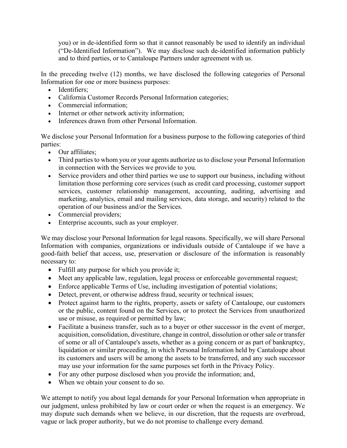you) or in de-identified form so that it cannot reasonably be used to identify an individual ("De-Identified Information"). We may disclose such de-identified information publicly and to third parties, or to Cantaloupe Partners under agreement with us.

In the preceding twelve (12) months, we have disclosed the following categories of Personal Information for one or more business purposes:

- Identifiers:
- California Customer Records Personal Information categories;
- Commercial information;
- Internet or other network activity information:
- Inferences drawn from other Personal Information.

We disclose your Personal Information for a business purpose to the following categories of third parties:

- Our affiliates;
- Third parties to whom you or your agents authorize us to disclose your Personal Information in connection with the Services we provide to you.
- Service providers and other third parties we use to support our business, including without limitation those performing core services (such as credit card processing, customer support services, customer relationship management, accounting, auditing, advertising and marketing, analytics, email and mailing services, data storage, and security) related to the operation of our business and/or the Services.
- Commercial providers;
- Enterprise accounts, such as your employer.

We may disclose your Personal Information for legal reasons. Specifically, we will share Personal Information with companies, organizations or individuals outside of Cantaloupe if we have a good-faith belief that access, use, preservation or disclosure of the information is reasonably necessary to:

- Fulfill any purpose for which you provide it;
- Meet any applicable law, regulation, legal process or enforceable governmental request;
- Enforce applicable Terms of Use, including investigation of potential violations;
- Detect, prevent, or otherwise address fraud, security or technical issues;
- Protect against harm to the rights, property, assets or safety of Cantaloupe, our customers or the public, content found on the Services, or to protect the Services from unauthorized use or misuse, as required or permitted by law;
- Facilitate a business transfer, such as to a buyer or other successor in the event of merger, acquisition, consolidation, divestiture, change in control, dissolution or other sale or transfer of some or all of Cantaloupe's assets, whether as a going concern or as part of bankruptcy, liquidation or similar proceeding, in which Personal Information held by Cantaloupe about its customers and users will be among the assets to be transferred, and any such successor may use your information for the same purposes set forth in the Privacy Policy.
- For any other purpose disclosed when you provide the information; and,
- When we obtain your consent to do so.

We attempt to notify you about legal demands for your Personal Information when appropriate in our judgment, unless prohibited by law or court order or when the request is an emergency. We may dispute such demands when we believe, in our discretion, that the requests are overbroad, vague or lack proper authority, but we do not promise to challenge every demand.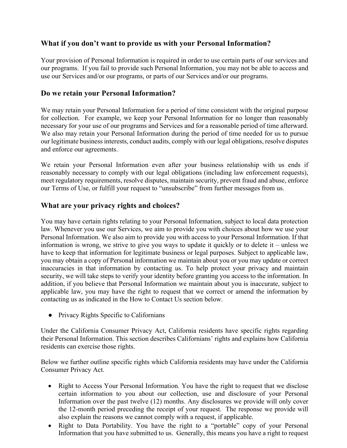# **What if you don't want to provide us with your Personal Information?**

Your provision of Personal Information is required in order to use certain parts of our services and our programs. If you fail to provide such Personal Information, you may not be able to access and use our Services and/or our programs, or parts of our Services and/or our programs.

## **Do we retain your Personal Information?**

We may retain your Personal Information for a period of time consistent with the original purpose for collection. For example, we keep your Personal Information for no longer than reasonably necessary for your use of our programs and Services and for a reasonable period of time afterward. We also may retain your Personal Information during the period of time needed for us to pursue our legitimate business interests, conduct audits, comply with our legal obligations, resolve disputes and enforce our agreements.

We retain your Personal Information even after your business relationship with us ends if reasonably necessary to comply with our legal obligations (including law enforcement requests), meet regulatory requirements, resolve disputes, maintain security, prevent fraud and abuse, enforce our Terms of Use, or fulfill your request to "unsubscribe" from further messages from us.

## **What are your privacy rights and choices?**

You may have certain rights relating to your Personal Information, subject to local data protection law. Whenever you use our Services, we aim to provide you with choices about how we use your Personal Information. We also aim to provide you with access to your Personal Information. If that information is wrong, we strive to give you ways to update it quickly or to delete it – unless we have to keep that information for legitimate business or legal purposes. Subject to applicable law, you may obtain a copy of Personal information we maintain about you or you may update or correct inaccuracies in that information by contacting us. To help protect your privacy and maintain security, we will take steps to verify your identity before granting you access to the information. In addition, if you believe that Personal Information we maintain about you is inaccurate, subject to applicable law, you may have the right to request that we correct or amend the information by contacting us as indicated in the How to Contact Us section below.

● Privacy Rights Specific to Californians

Under the California Consumer Privacy Act, California residents have specific rights regarding their Personal Information. This section describes Californians' rights and explains how California residents can exercise those rights.

Below we further outline specific rights which California residents may have under the California Consumer Privacy Act.

- Right to Access Your Personal Information. You have the right to request that we disclose certain information to you about our collection, use and disclosure of your Personal Information over the past twelve (12) months. Any disclosures we provide will only cover the 12-month period preceding the receipt of your request. The response we provide will also explain the reasons we cannot comply with a request, if applicable.
- Right to Data Portability. You have the right to a "portable" copy of your Personal Information that you have submitted to us. Generally, this means you have a right to request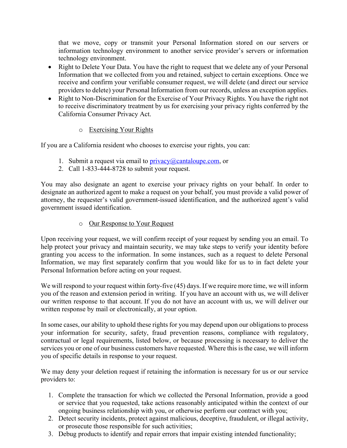that we move, copy or transmit your Personal Information stored on our servers or information technology environment to another service provider's servers or information technology environment.

- Right to Delete Your Data. You have the right to request that we delete any of your Personal Information that we collected from you and retained, subject to certain exceptions. Once we receive and confirm your verifiable consumer request, we will delete (and direct our service providers to delete) your Personal Information from our records, unless an exception applies.
- Right to Non-Discrimination for the Exercise of Your Privacy Rights. You have the right not to receive discriminatory treatment by us for exercising your privacy rights conferred by the California Consumer Privacy Act.

## o Exercising Your Rights

If you are a California resident who chooses to exercise your rights, you can:

- 1. Submit a request via email to  $\frac{\text{privacy}(a)}{\text{cantaloupe.com}}$ , or
- 2. Call 1-833-444-8728 to submit your request.

You may also designate an agent to exercise your privacy rights on your behalf. In order to designate an authorized agent to make a request on your behalf, you must provide a valid power of attorney, the requester's valid government-issued identification, and the authorized agent's valid government issued identification.

o Our Response to Your Request

Upon receiving your request, we will confirm receipt of your request by sending you an email. To help protect your privacy and maintain security, we may take steps to verify your identity before granting you access to the information. In some instances, such as a request to delete Personal Information, we may first separately confirm that you would like for us to in fact delete your Personal Information before acting on your request.

We will respond to your request within forty-five (45) days. If we require more time, we will inform you of the reason and extension period in writing. If you have an account with us, we will deliver our written response to that account. If you do not have an account with us, we will deliver our written response by mail or electronically, at your option.

In some cases, our ability to uphold these rights for you may depend upon our obligations to process your information for security, safety, fraud prevention reasons, compliance with regulatory, contractual or legal requirements, listed below, or because processing is necessary to deliver the services you or one of our business customers have requested. Where this is the case, we will inform you of specific details in response to your request.

We may deny your deletion request if retaining the information is necessary for us or our service providers to:

- 1. Complete the transaction for which we collected the Personal Information, provide a good or service that you requested, take actions reasonably anticipated within the context of our ongoing business relationship with you, or otherwise perform our contract with you;
- 2. Detect security incidents, protect against malicious, deceptive, fraudulent, or illegal activity, or prosecute those responsible for such activities;
- 3. Debug products to identify and repair errors that impair existing intended functionality;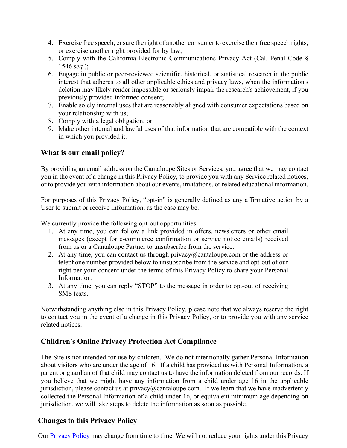- 4. Exercise free speech, ensure the right of another consumer to exercise their free speech rights, or exercise another right provided for by law;
- 5. Comply with the California Electronic Communications Privacy Act (Cal. Penal Code § 1546 *seq.*);
- 6. Engage in public or peer-reviewed scientific, historical, or statistical research in the public interest that adheres to all other applicable ethics and privacy laws, when the information's deletion may likely render impossible or seriously impair the research's achievement, if you previously provided informed consent;
- 7. Enable solely internal uses that are reasonably aligned with consumer expectations based on your relationship with us;
- 8. Comply with a legal obligation; or
- 9. Make other internal and lawful uses of that information that are compatible with the context in which you provided it.

## **What is our email policy?**

By providing an email address on the Cantaloupe Sites or Services, you agree that we may contact you in the event of a change in this Privacy Policy, to provide you with any Service related notices, or to provide you with information about our events, invitations, or related educational information.

For purposes of this Privacy Policy, "opt-in" is generally defined as any affirmative action by a User to submit or receive information, as the case may be.

We currently provide the following opt-out opportunities:

- 1. At any time, you can follow a link provided in offers, newsletters or other email messages (except for e-commerce confirmation or service notice emails) received from us or a Cantaloupe Partner to unsubscribe from the service.
- 2. At any time, you can contact us through privacy@cantaloupe.com or the address or telephone number provided below to unsubscribe from the service and opt-out of our right per your consent under the terms of this Privacy Policy to share your Personal Information.
- 3. At any time, you can reply "STOP" to the message in order to opt-out of receiving SMS texts.

Notwithstanding anything else in this Privacy Policy, please note that we always reserve the right to contact you in the event of a change in this Privacy Policy, or to provide you with any service related notices.

## **Children's Online Privacy Protection Act Compliance**

The Site is not intended for use by children. We do not intentionally gather Personal Information about visitors who are under the age of 16. If a child has provided us with Personal Information, a parent or guardian of that child may contact us to have the information deleted from our records. If you believe that we might have any information from a child under age 16 in the applicable jurisdiction, please contact us at privacy@cantaloupe.com. If we learn that we have inadvertently collected the Personal Information of a child under 16, or equivalent minimum age depending on jurisdiction, we will take steps to delete the information as soon as possible.

#### **Changes to this Privacy Policy**

Our Privacy Policy may change from time to time. We will not reduce your rights under this Privacy